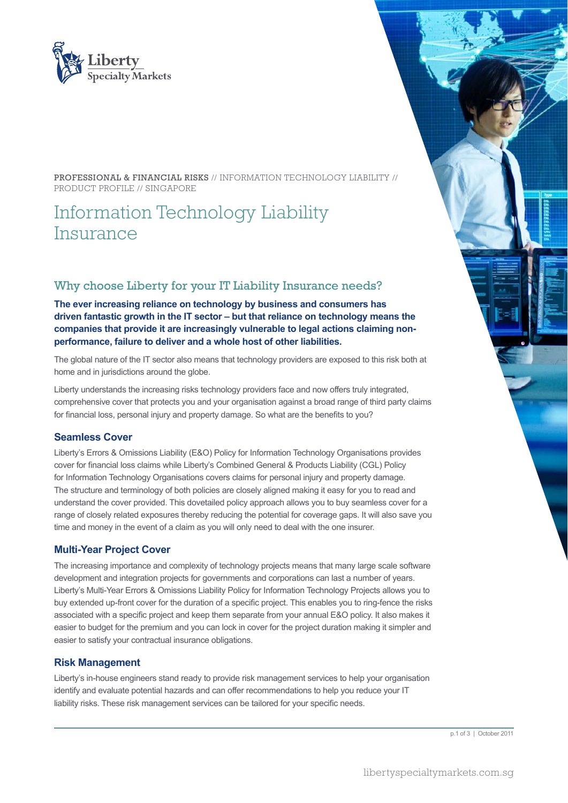

PROFESSIONAL & FINANCIAL RISKS // INFORMATION TECHNOLOGY LIABILITY // PRODUCT PROFILE // SINGAPORE

# Information Technology Liability Insurance

## Why choose Liberty for your IT Liability Insurance needs?

**The ever increasing reliance on technology by business and consumers has driven fantastic growth in the IT sector – but that reliance on technology means the companies that provide it are increasingly vulnerable to legal actions claiming nonperformance, failure to deliver and a whole host of other liabilities.**

The global nature of the IT sector also means that technology providers are exposed to this risk both at home and in jurisdictions around the globe.

Liberty understands the increasing risks technology providers face and now offers truly integrated, comprehensive cover that protects you and your organisation against a broad range of third party claims for financial loss, personal injury and property damage. So what are the benefits to you?

#### **Seamless Cover**

Liberty's Errors & Omissions Liability (E&O) Policy for Information Technology Organisations provides cover for financial loss claims while Liberty's Combined General & Products Liability (CGL) Policy for Information Technology Organisations covers claims for personal injury and property damage. The structure and terminology of both policies are closely aligned making it easy for you to read and understand the cover provided. This dovetailed policy approach allows you to buy seamless cover for a range of closely related exposures thereby reducing the potential for coverage gaps. It will also save you time and money in the event of a claim as you will only need to deal with the one insurer.

#### **Multi-Year Project Cover**

The increasing importance and complexity of technology projects means that many large scale software development and integration projects for governments and corporations can last a number of years. Liberty's Multi-Year Errors & Omissions Liability Policy for Information Technology Projects allows you to buy extended up-front cover for the duration of a specific project. This enables you to ring-fence the risks associated with a specific project and keep them separate from your annual E&O policy. It also makes it easier to budget for the premium and you can lock in cover for the project duration making it simpler and easier to satisfy your contractual insurance obligations.

#### **Risk Management**

Liberty's in-house engineers stand ready to provide risk management services to help your organisation identify and evaluate potential hazards and can offer recommendations to help you reduce your IT liability risks. These risk management services can be tailored for your specific needs.

p.1 of 3 | October 2011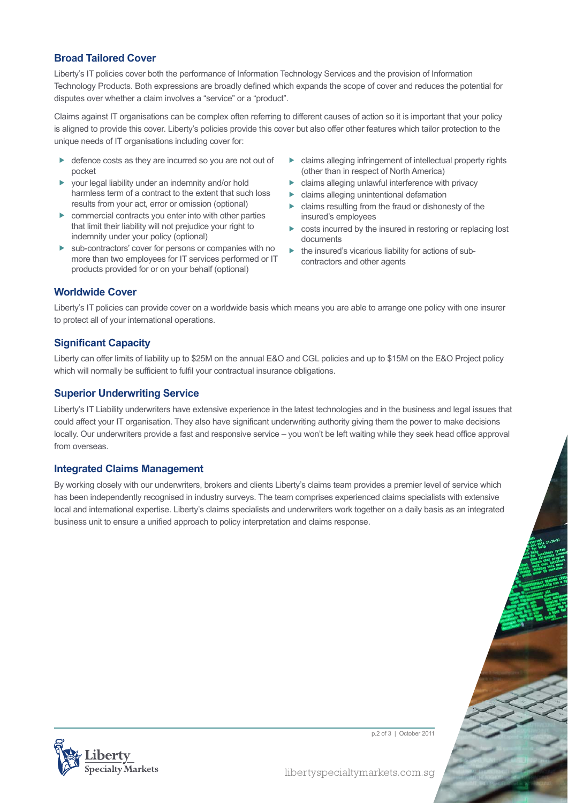## **Broad Tailored Cover**

Liberty's IT policies cover both the performance of Information Technology Services and the provision of Information Technology Products. Both expressions are broadly defined which expands the scope of cover and reduces the potential for disputes over whether a claim involves a "service" or a "product".

Claims against IT organisations can be complex often referring to different causes of action so it is important that your policy is aligned to provide this cover. Liberty's policies provide this cover but also offer other features which tailor protection to the unique needs of IT organisations including cover for:

- defence costs as they are incurred so you are not out of pocket
- your legal liability under an indemnity and/or hold harmless term of a contract to the extent that such loss results from your act, error or omission (optional)
- $\triangleright$  commercial contracts you enter into with other parties that limit their liability will not prejudice your right to indemnity under your policy (optional)
- $\blacktriangleright$  sub-contractors' cover for persons or companies with no more than two employees for IT services performed or IT products provided for or on your behalf (optional)
- $\blacktriangleright$  claims alleging infringement of intellectual property rights (other than in respect of North America)
- $\blacktriangleright$  claims alleging unlawful interference with privacy
- $\blacktriangleright$  claims alleging unintentional defamation
- $\blacktriangleright$  claims resulting from the fraud or dishonesty of the insured's employees
- $\triangleright$  costs incurred by the insured in restoring or replacing lost documents
- $\blacktriangleright$  the insured's vicarious liability for actions of subcontractors and other agents

#### **Worldwide Cover**

Liberty's IT policies can provide cover on a worldwide basis which means you are able to arrange one policy with one insurer to protect all of your international operations.

#### **Significant Capacity**

Liberty can offer limits of liability up to \$25M on the annual E&O and CGL policies and up to \$15M on the E&O Project policy which will normally be sufficient to fulfil your contractual insurance obligations.

#### **Superior Underwriting Service**

Liberty's IT Liability underwriters have extensive experience in the latest technologies and in the business and legal issues that could affect your IT organisation. They also have significant underwriting authority giving them the power to make decisions locally. Our underwriters provide a fast and responsive service – you won't be left waiting while they seek head office approval from overseas.

#### **Integrated Claims Management**

By working closely with our underwriters, brokers and clients Liberty's claims team provides a premier level of service which has been independently recognised in industry surveys. The team comprises experienced claims specialists with extensive local and international expertise. Liberty's claims specialists and underwriters work together on a daily basis as an integrated business unit to ensure a unified approach to policy interpretation and claims response.